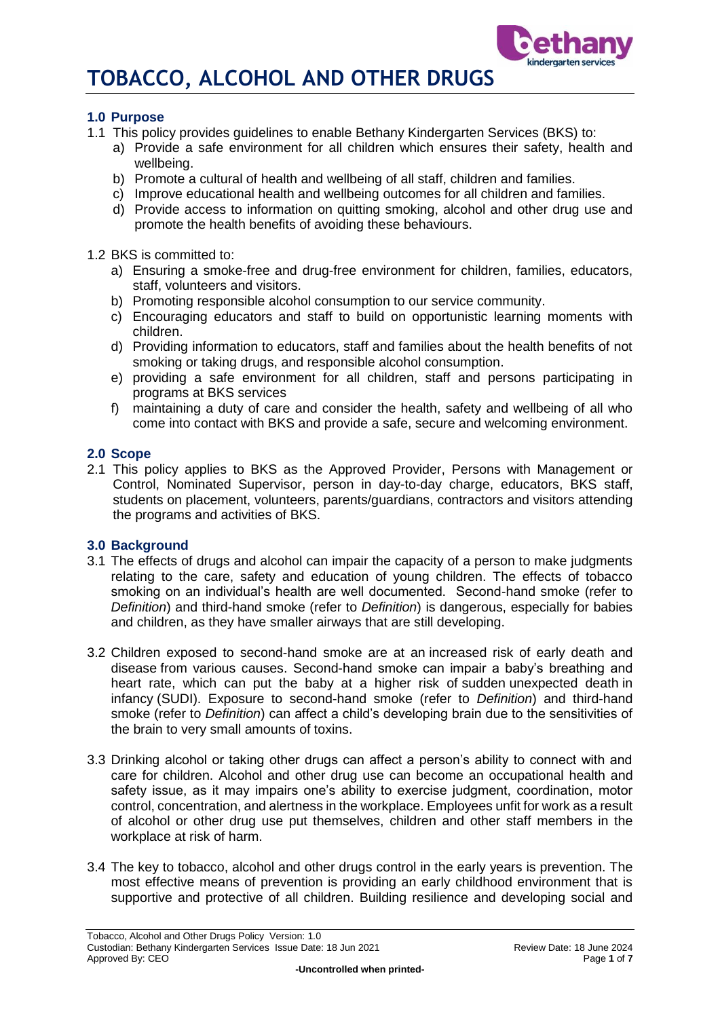# **1.0 Purpose**

- 1.1 This policy provides guidelines to enable Bethany Kindergarten Services (BKS) to:
	- a) Provide a safe environment for all children which ensures their safety, health and wellbeing.
	- b) Promote a cultural of health and wellbeing of all staff, children and families.
	- c) Improve educational health and wellbeing outcomes for all children and families.
	- d) Provide access to information on quitting smoking, alcohol and other drug use and promote the health benefits of avoiding these behaviours.

1.2 BKS is committed to:

- a) Ensuring a smoke-free and drug-free environment for children, families, educators, staff, volunteers and visitors.
- b) Promoting responsible alcohol consumption to our service community.
- c) Encouraging educators and staff to build on opportunistic learning moments with children.
- d) Providing information to educators, staff and families about the health benefits of not smoking or taking drugs, and responsible alcohol consumption.
- e) providing a safe environment for all children, staff and persons participating in programs at BKS services
- f) maintaining a duty of care and consider the health, safety and wellbeing of all who come into contact with BKS and provide a safe, secure and welcoming environment.

### **2.0 Scope**

2.1 This policy applies to BKS as the Approved Provider, Persons with Management or Control, Nominated Supervisor, person in day-to-day charge, educators, BKS staff, students on placement, volunteers, parents/guardians, contractors and visitors attending the programs and activities of BKS.

#### **3.0 Background**

- 3.1 The effects of drugs and alcohol can impair the capacity of a person to make judgments relating to the care, safety and education of young children. The effects of tobacco smoking on an individual's health are well documented. Second-hand smoke (refer to *Definition*) and third-hand smoke (refer to *Definition*) is dangerous, especially for babies and children, as they have smaller airways that are still developing.
- 3.2 Children exposed to second-hand smoke are at an increased risk of early death and disease from various causes. Second-hand smoke can impair a baby's breathing and heart rate, which can put the baby at a higher risk of sudden unexpected death in infancy (SUDI). Exposure to second-hand smoke (refer to *Definition*) and third-hand smoke (refer to *Definition*) can affect a child's developing brain due to the sensitivities of the brain to very small amounts of toxins.
- 3.3 Drinking alcohol or taking other drugs can affect a person's ability to connect with and care for children. Alcohol and other drug use can become an occupational health and safety issue, as it may impairs one's ability to exercise judgment, coordination, motor control, concentration, and alertness in the workplace. Employees unfit for work as a result of alcohol or other drug use put themselves, children and other staff members in the workplace at risk of harm.
- 3.4 The key to tobacco, alcohol and other drugs control in the early years is prevention. The most effective means of prevention is providing an early childhood environment that is supportive and protective of all children. Building resilience and developing social and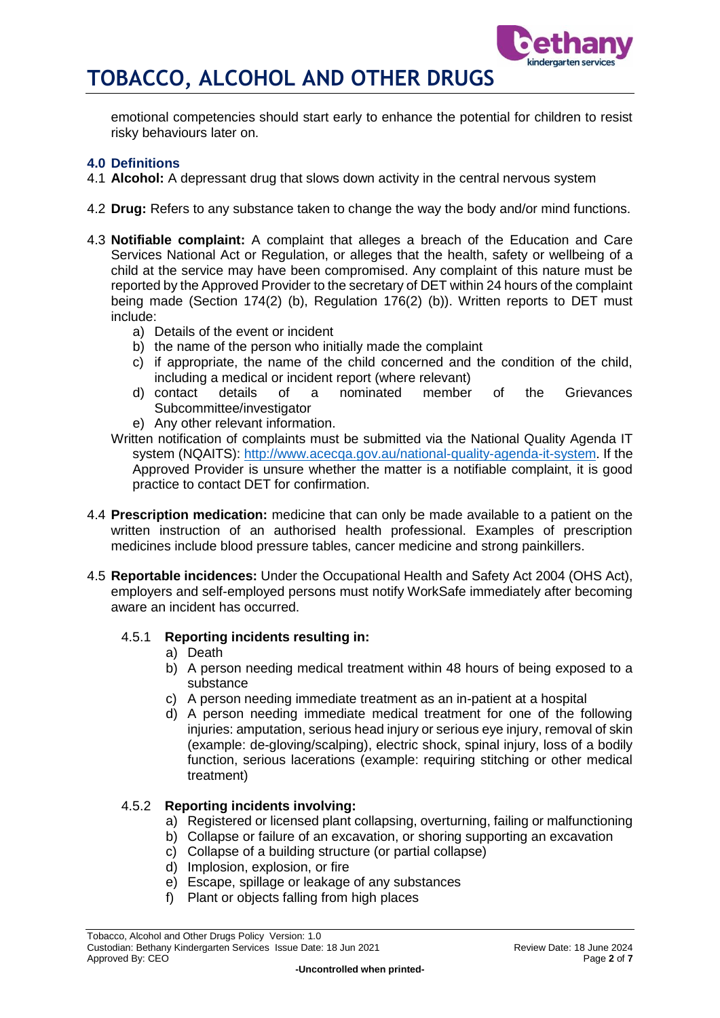

emotional competencies should start early to enhance the potential for children to resist risky behaviours later on.

# **4.0 Definitions**

- 4.1 **Alcohol:** A depressant drug that slows down activity in the central nervous system
- 4.2 **Drug:** Refers to any substance taken to change the way the body and/or mind functions.
- 4.3 **Notifiable complaint:** A complaint that alleges a breach of the Education and Care Services National Act or Regulation, or alleges that the health, safety or wellbeing of a child at the service may have been compromised. Any complaint of this nature must be reported by the Approved Provider to the secretary of DET within 24 hours of the complaint being made (Section 174(2) (b), Regulation 176(2) (b)). Written reports to DET must include:
	- a) Details of the event or incident
	- b) the name of the person who initially made the complaint
	- c) if appropriate, the name of the child concerned and the condition of the child, including a medical or incident report (where relevant)<br>d) contact details of a nominated member
	- details of a nominated member of the Grievances Subcommittee/investigator
	- e) Any other relevant information.
	- Written notification of complaints must be submitted via the National Quality Agenda IT system (NQAITS): [http://www.acecqa.gov.au/national-quality-agenda-it-system.](http://www.acecqa.gov.au/national-quality-agenda-it-system) If the Approved Provider is unsure whether the matter is a notifiable complaint, it is good practice to contact DET for confirmation.
- 4.4 **Prescription medication:** medicine that can only be made available to a patient on the written instruction of an authorised health professional. Examples of prescription medicines include blood pressure tables, cancer medicine and strong painkillers.
- 4.5 **Reportable incidences:** Under the Occupational Health and Safety Act 2004 (OHS Act), employers and self-employed persons must notify WorkSafe immediately after becoming aware an incident has occurred.

# 4.5.1 **Reporting incidents resulting in:**

- a) Death
- b) A person needing medical treatment within 48 hours of being exposed to a substance
- c) A person needing immediate treatment as an in-patient at a hospital
- d) A person needing immediate medical treatment for one of the following injuries: amputation, serious head injury or serious eye injury, removal of skin (example: de-gloving/scalping), electric shock, spinal injury, loss of a bodily function, serious lacerations (example: requiring stitching or other medical treatment)

# 4.5.2 **Reporting incidents involving:**

- a) Registered or licensed plant collapsing, overturning, failing or malfunctioning
- b) Collapse or failure of an excavation, or shoring supporting an excavation
- c) Collapse of a building structure (or partial collapse)
- d) Implosion, explosion, or fire
- e) Escape, spillage or leakage of any substances
- f) Plant or objects falling from high places

Tobacco, Alcohol and Other Drugs Policy Version: 1.0 Custodian: Bethany Kindergarten Services Issue Date: 18 Jun 2021 Review Date: 18 June 2024 Approved By: CEO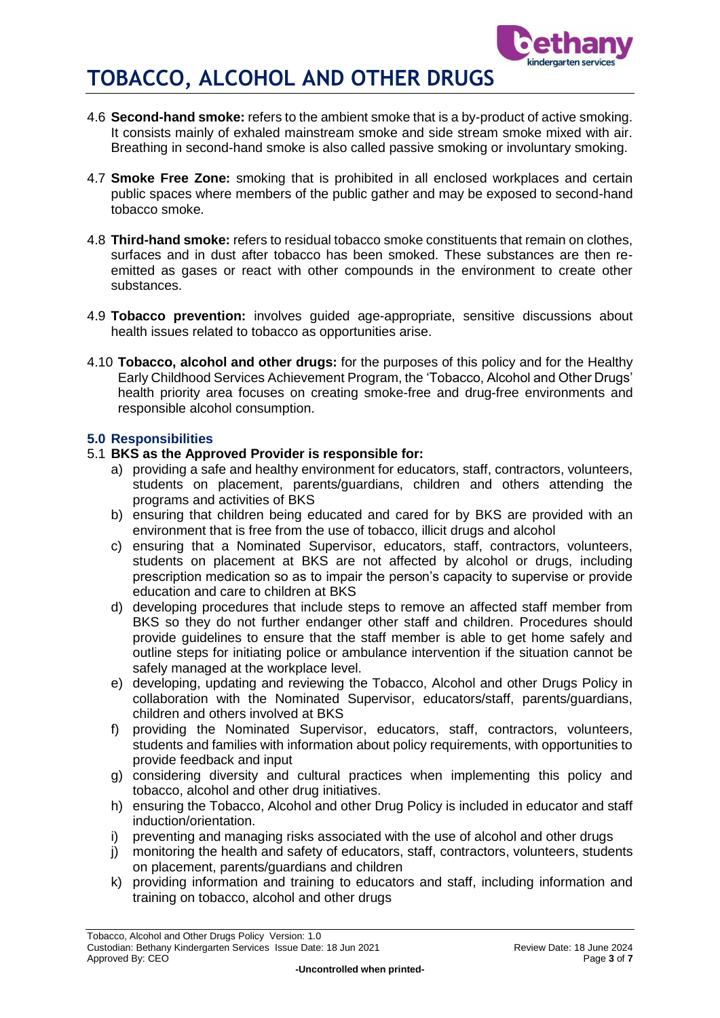

- 4.6 **Second-hand smoke:** refers to the ambient smoke that is a by-product of active smoking. It consists mainly of exhaled mainstream smoke and side stream smoke mixed with air. Breathing in second-hand smoke is also called passive smoking or involuntary smoking.
- 4.7 **Smoke Free Zone:** smoking that is prohibited in all enclosed workplaces and certain public spaces where members of the public gather and may be exposed to second-hand tobacco smoke.
- 4.8 **Third-hand smoke:** refers to residual tobacco smoke constituents that remain on clothes, surfaces and in dust after tobacco has been smoked. These substances are then reemitted as gases or react with other compounds in the environment to create other substances.
- 4.9 **Tobacco prevention:** involves guided age-appropriate, sensitive discussions about health issues related to tobacco as opportunities arise.
- 4.10 **Tobacco, alcohol and other drugs:** for the purposes of this policy and for the Healthy Early Childhood Services Achievement Program, the 'Tobacco, Alcohol and Other Drugs' health priority area focuses on creating smoke-free and drug-free environments and responsible alcohol consumption.

# **5.0 Responsibilities**

- 5.1 **BKS as the Approved Provider is responsible for:**
	- a) providing a safe and healthy environment for educators, staff, contractors, volunteers, students on placement, parents/guardians, children and others attending the programs and activities of BKS
	- b) ensuring that children being educated and cared for by BKS are provided with an environment that is free from the use of tobacco, illicit drugs and alcohol
	- c) ensuring that a Nominated Supervisor, educators, staff, contractors, volunteers, students on placement at BKS are not affected by alcohol or drugs, including prescription medication so as to impair the person's capacity to supervise or provide education and care to children at BKS
	- d) developing procedures that include steps to remove an affected staff member from BKS so they do not further endanger other staff and children. Procedures should provide guidelines to ensure that the staff member is able to get home safely and outline steps for initiating police or ambulance intervention if the situation cannot be safely managed at the workplace level.
	- e) developing, updating and reviewing the Tobacco, Alcohol and other Drugs Policy in collaboration with the Nominated Supervisor, educators/staff, parents/guardians, children and others involved at BKS
	- f) providing the Nominated Supervisor, educators, staff, contractors, volunteers, students and families with information about policy requirements, with opportunities to provide feedback and input
	- g) considering diversity and cultural practices when implementing this policy and tobacco, alcohol and other drug initiatives.
	- h) ensuring the Tobacco, Alcohol and other Drug Policy is included in educator and staff induction/orientation.
	- i) preventing and managing risks associated with the use of alcohol and other drugs
	- j) monitoring the health and safety of educators, staff, contractors, volunteers, students on placement, parents/guardians and children
	- k) providing information and training to educators and staff, including information and training on tobacco, alcohol and other drugs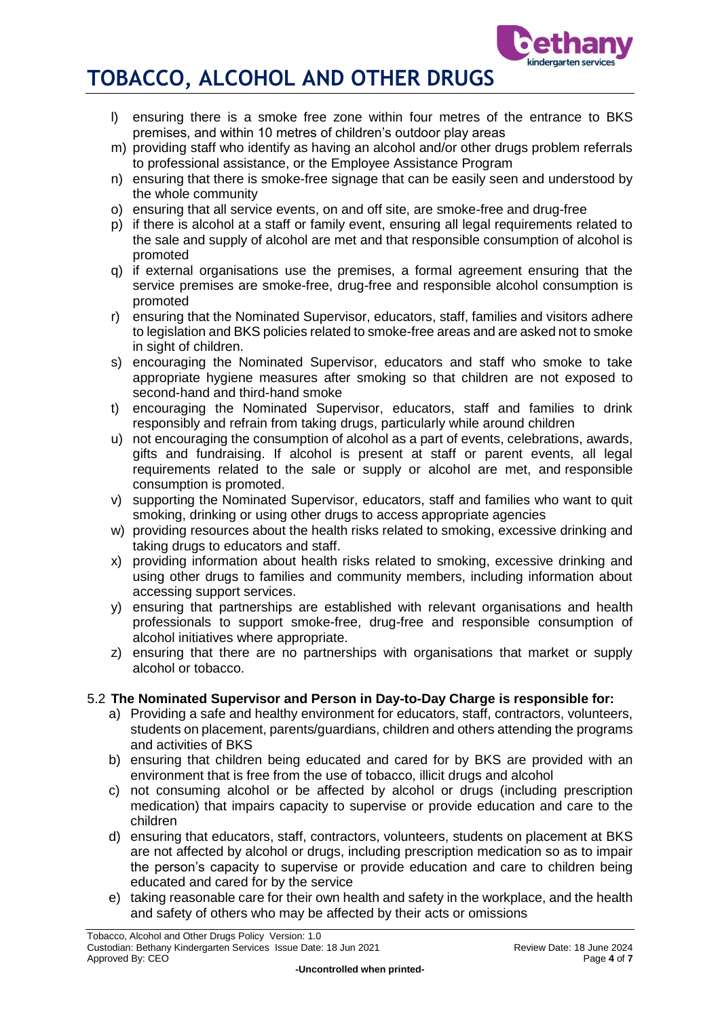

- l) ensuring there is a smoke free zone within four metres of the entrance to BKS premises, and within 10 metres of children's outdoor play areas
- m) providing staff who identify as having an alcohol and/or other drugs problem referrals to professional assistance, or the Employee Assistance Program
- n) ensuring that there is smoke-free signage that can be easily seen and understood by the whole community
- o) ensuring that all service events, on and off site, are smoke-free and drug-free
- p) if there is alcohol at a staff or family event, ensuring all legal requirements related to the sale and supply of alcohol are met and that responsible consumption of alcohol is promoted
- q) if external organisations use the premises, a formal agreement ensuring that the service premises are smoke-free, drug-free and responsible alcohol consumption is promoted
- r) ensuring that the Nominated Supervisor, educators, staff, families and visitors adhere to legislation and BKS policies related to smoke-free areas and are asked not to smoke in sight of children.
- s) encouraging the Nominated Supervisor, educators and staff who smoke to take appropriate hygiene measures after smoking so that children are not exposed to second-hand and third-hand smoke
- t) encouraging the Nominated Supervisor, educators, staff and families to drink responsibly and refrain from taking drugs, particularly while around children
- u) not encouraging the consumption of alcohol as a part of events, celebrations, awards, gifts and fundraising. If alcohol is present at staff or parent events, all legal requirements related to the sale or supply or alcohol are met, and responsible consumption is promoted.
- v) supporting the Nominated Supervisor, educators, staff and families who want to quit smoking, drinking or using other drugs to access appropriate agencies
- w) providing resources about the health risks related to smoking, excessive drinking and taking drugs to educators and staff.
- x) providing information about health risks related to smoking, excessive drinking and using other drugs to families and community members, including information about accessing support services.
- y) ensuring that partnerships are established with relevant organisations and health professionals to support smoke-free, drug-free and responsible consumption of alcohol initiatives where appropriate.
- z) ensuring that there are no partnerships with organisations that market or supply alcohol or tobacco.

# 5.2 **The Nominated Supervisor and Person in Day-to-Day Charge is responsible for:**

- a) Providing a safe and healthy environment for educators, staff, contractors, volunteers, students on placement, parents/guardians, children and others attending the programs and activities of BKS
- b) ensuring that children being educated and cared for by BKS are provided with an environment that is free from the use of tobacco, illicit drugs and alcohol
- c) not consuming alcohol or be affected by alcohol or drugs (including prescription medication) that impairs capacity to supervise or provide education and care to the children
- d) ensuring that educators, staff, contractors, volunteers, students on placement at BKS are not affected by alcohol or drugs, including prescription medication so as to impair the person's capacity to supervise or provide education and care to children being educated and cared for by the service
- e) taking reasonable care for their own health and safety in the workplace, and the health and safety of others who may be affected by their acts or omissions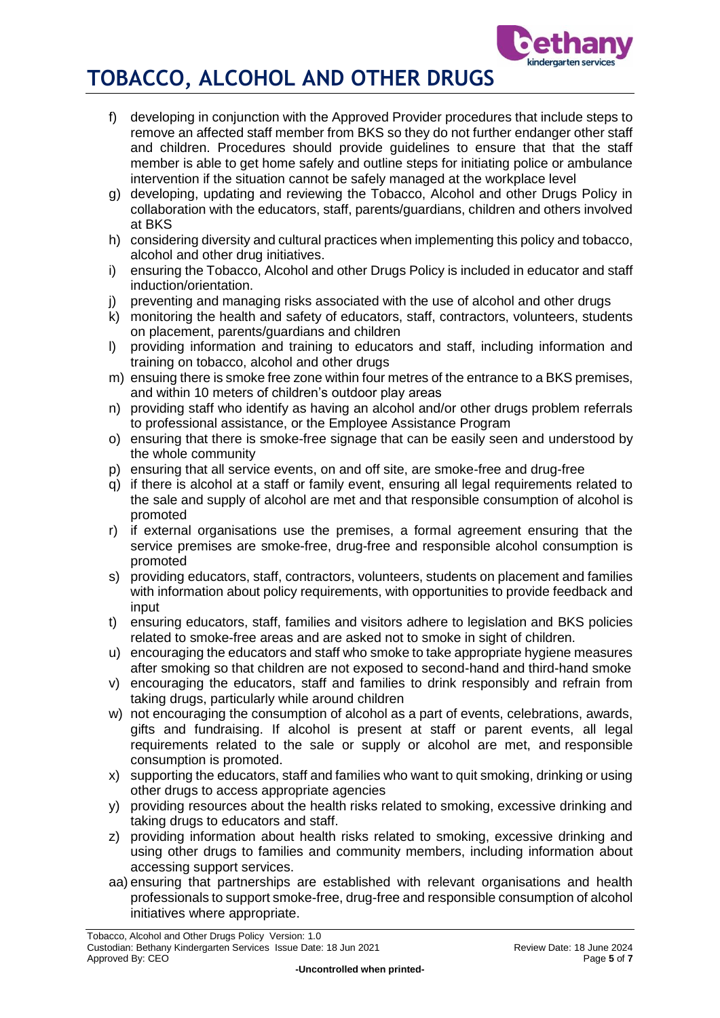

- f) developing in conjunction with the Approved Provider procedures that include steps to remove an affected staff member from BKS so they do not further endanger other staff and children. Procedures should provide guidelines to ensure that that the staff member is able to get home safely and outline steps for initiating police or ambulance intervention if the situation cannot be safely managed at the workplace level
- g) developing, updating and reviewing the Tobacco, Alcohol and other Drugs Policy in collaboration with the educators, staff, parents/guardians, children and others involved at BKS
- h) considering diversity and cultural practices when implementing this policy and tobacco, alcohol and other drug initiatives.
- i) ensuring the Tobacco, Alcohol and other Drugs Policy is included in educator and staff induction/orientation.
- j) preventing and managing risks associated with the use of alcohol and other drugs
- k) monitoring the health and safety of educators, staff, contractors, volunteers, students on placement, parents/guardians and children
- l) providing information and training to educators and staff, including information and training on tobacco, alcohol and other drugs
- m) ensuing there is smoke free zone within four metres of the entrance to a BKS premises, and within 10 meters of children's outdoor play areas
- n) providing staff who identify as having an alcohol and/or other drugs problem referrals to professional assistance, or the Employee Assistance Program
- o) ensuring that there is smoke-free signage that can be easily seen and understood by the whole community
- p) ensuring that all service events, on and off site, are smoke-free and drug-free
- q) if there is alcohol at a staff or family event, ensuring all legal requirements related to the sale and supply of alcohol are met and that responsible consumption of alcohol is promoted
- r) if external organisations use the premises, a formal agreement ensuring that the service premises are smoke-free, drug-free and responsible alcohol consumption is promoted
- s) providing educators, staff, contractors, volunteers, students on placement and families with information about policy requirements, with opportunities to provide feedback and input
- t) ensuring educators, staff, families and visitors adhere to legislation and BKS policies related to smoke-free areas and are asked not to smoke in sight of children.
- u) encouraging the educators and staff who smoke to take appropriate hygiene measures after smoking so that children are not exposed to second-hand and third-hand smoke
- v) encouraging the educators, staff and families to drink responsibly and refrain from taking drugs, particularly while around children
- w) not encouraging the consumption of alcohol as a part of events, celebrations, awards, gifts and fundraising. If alcohol is present at staff or parent events, all legal requirements related to the sale or supply or alcohol are met, and responsible consumption is promoted.
- x) supporting the educators, staff and families who want to quit smoking, drinking or using other drugs to access appropriate agencies
- y) providing resources about the health risks related to smoking, excessive drinking and taking drugs to educators and staff.
- z) providing information about health risks related to smoking, excessive drinking and using other drugs to families and community members, including information about accessing support services.
- aa) ensuring that partnerships are established with relevant organisations and health professionals to support smoke-free, drug-free and responsible consumption of alcohol initiatives where appropriate.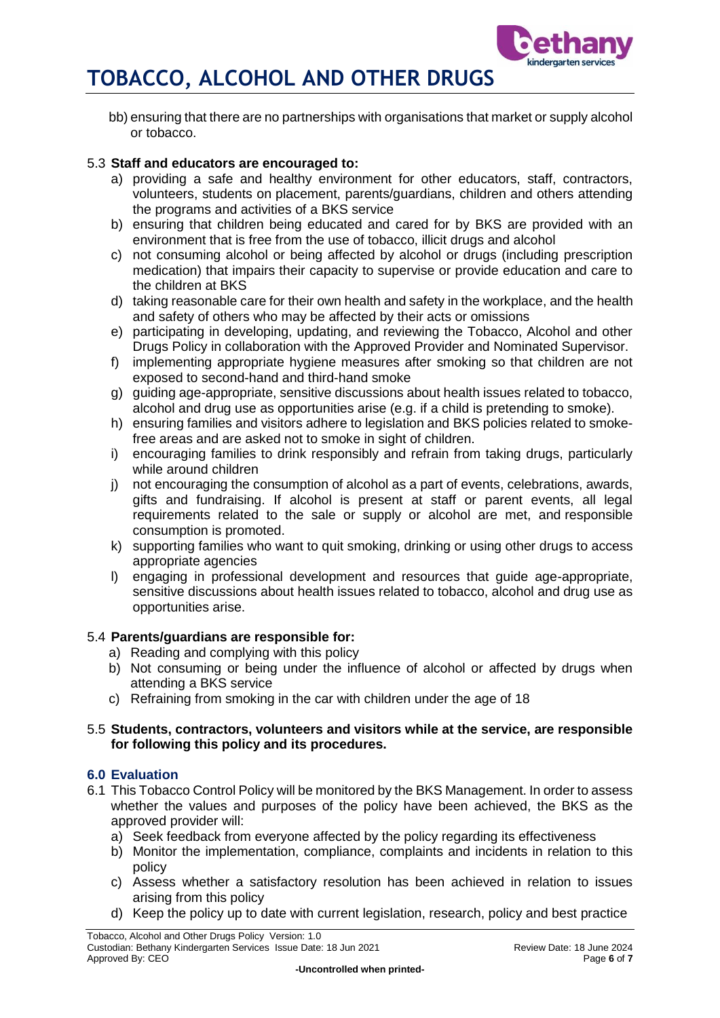

bb) ensuring that there are no partnerships with organisations that market or supply alcohol or tobacco.

## 5.3 **Staff and educators are encouraged to:**

- a) providing a safe and healthy environment for other educators, staff, contractors, volunteers, students on placement, parents/guardians, children and others attending the programs and activities of a BKS service
- b) ensuring that children being educated and cared for by BKS are provided with an environment that is free from the use of tobacco, illicit drugs and alcohol
- c) not consuming alcohol or being affected by alcohol or drugs (including prescription medication) that impairs their capacity to supervise or provide education and care to the children at BKS
- d) taking reasonable care for their own health and safety in the workplace, and the health and safety of others who may be affected by their acts or omissions
- e) participating in developing, updating, and reviewing the Tobacco, Alcohol and other Drugs Policy in collaboration with the Approved Provider and Nominated Supervisor.
- f) implementing appropriate hygiene measures after smoking so that children are not exposed to second-hand and third-hand smoke
- g) guiding age-appropriate, sensitive discussions about health issues related to tobacco, alcohol and drug use as opportunities arise (e.g. if a child is pretending to smoke).
- h) ensuring families and visitors adhere to legislation and BKS policies related to smokefree areas and are asked not to smoke in sight of children.
- i) encouraging families to drink responsibly and refrain from taking drugs, particularly while around children
- j) not encouraging the consumption of alcohol as a part of events, celebrations, awards, gifts and fundraising. If alcohol is present at staff or parent events, all legal requirements related to the sale or supply or alcohol are met, and responsible consumption is promoted.
- k) supporting families who want to quit smoking, drinking or using other drugs to access appropriate agencies
- l) engaging in professional development and resources that guide age-appropriate, sensitive discussions about health issues related to tobacco, alcohol and drug use as opportunities arise.

# 5.4 **Parents/guardians are responsible for:**

- a) Reading and complying with this policy
- b) Not consuming or being under the influence of alcohol or affected by drugs when attending a BKS service
- c) Refraining from smoking in the car with children under the age of 18

### 5.5 **Students, contractors, volunteers and visitors while at the service, are responsible for following this policy and its procedures.**

# **6.0 Evaluation**

- 6.1 This Tobacco Control Policy will be monitored by the BKS Management. In order to assess whether the values and purposes of the policy have been achieved, the BKS as the approved provider will:
	- a) Seek feedback from everyone affected by the policy regarding its effectiveness
	- b) Monitor the implementation, compliance, complaints and incidents in relation to this policy
	- c) Assess whether a satisfactory resolution has been achieved in relation to issues arising from this policy
	- d) Keep the policy up to date with current legislation, research, policy and best practice